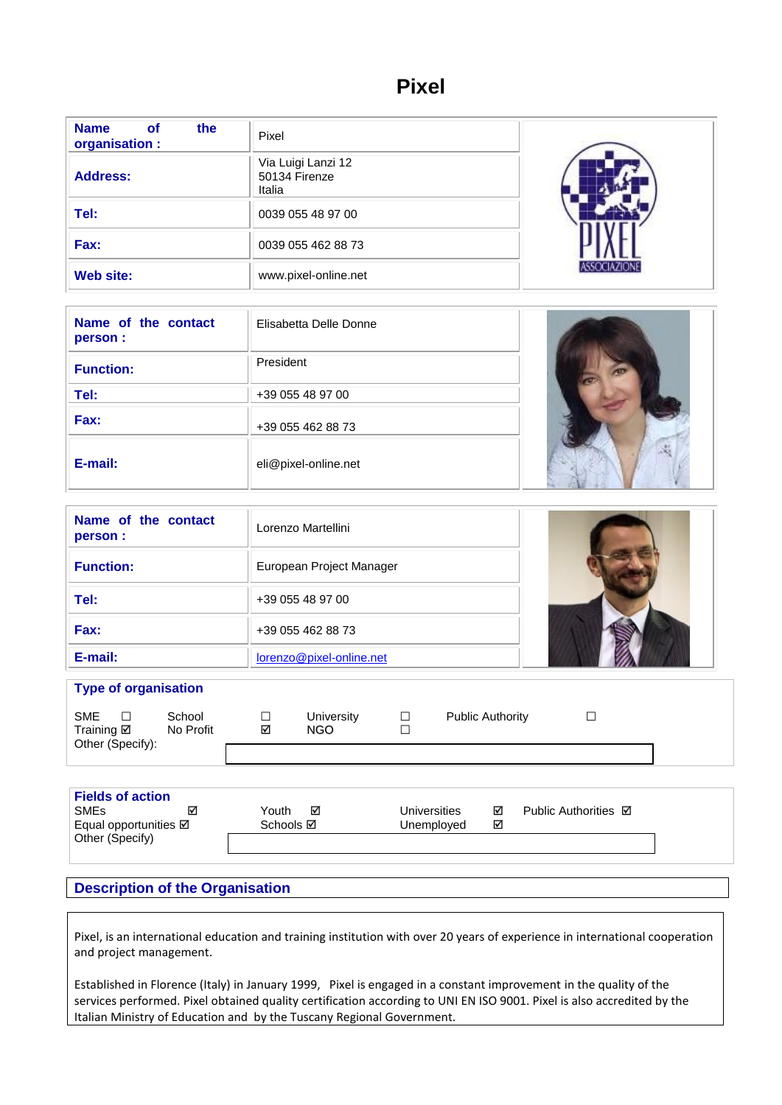# **Pixel**

| <b>Name</b><br>the<br><b>of</b><br>organisation : | Pixel                                         |  |
|---------------------------------------------------|-----------------------------------------------|--|
| <b>Address:</b>                                   | Via Luigi Lanzi 12<br>50134 Firenze<br>Italia |  |
| Tel:                                              | 0039 055 48 97 00                             |  |
| Fax:                                              | 0039 055 462 88 73                            |  |
| Web site:                                         | www.pixel-online.net                          |  |

| Name of the contact<br>person : | Elisabetta Delle Donne |  |
|---------------------------------|------------------------|--|
| <b>Function:</b>                | President              |  |
| Tel:                            | +39 055 48 97 00       |  |
| Fax:                            | +39 055 462 88 73      |  |
| E-mail:                         | eli@pixel-online.net   |  |

| Name of the contact<br>person : | Lorenzo Martellini       |  |
|---------------------------------|--------------------------|--|
| <b>Function:</b>                | European Project Manager |  |
| Tel:                            | +39 055 48 97 00         |  |
| Fax:                            | +39 055 462 88 73        |  |
| E-mail:                         | lorenzo@pixel-online.net |  |

| <b>Type of organisation</b>                  |        |                     |   |                   |                  |                         |  |
|----------------------------------------------|--------|---------------------|---|-------------------|------------------|-------------------------|--|
| <b>SME</b><br>Training Ø<br>Other (Specify): | $\Box$ | School<br>No Profit | ☑ | University<br>NGO | $\Box$<br>$\Box$ | <b>Public Authority</b> |  |
|                                              |        |                     |   |                   |                  |                         |  |

| <b>SME<sub>s</sub></b><br>☑<br><b>Universities</b><br>Public Authorities <b>☑</b><br>Youth<br>☑<br>⊽<br>☑<br>Equal opportunities <b>☑</b><br>Schools <b>⊠</b><br>Unemployed<br>Other (Specify) | <b>Fields of action</b> |  |  |
|------------------------------------------------------------------------------------------------------------------------------------------------------------------------------------------------|-------------------------|--|--|
|                                                                                                                                                                                                |                         |  |  |
|                                                                                                                                                                                                |                         |  |  |
|                                                                                                                                                                                                |                         |  |  |

# **Description of the Organisation**

Pixel, is an international education and training institution with over 20 years of experience in international cooperation and project management.

Established in Florence (Italy) in January 1999, Pixel is engaged in a constant improvement in the quality of the services performed. Pixel obtained quality certification according to UNI EN ISO 9001. Pixel is also accredited by the Italian Ministry of Education and by the Tuscany Regional Government.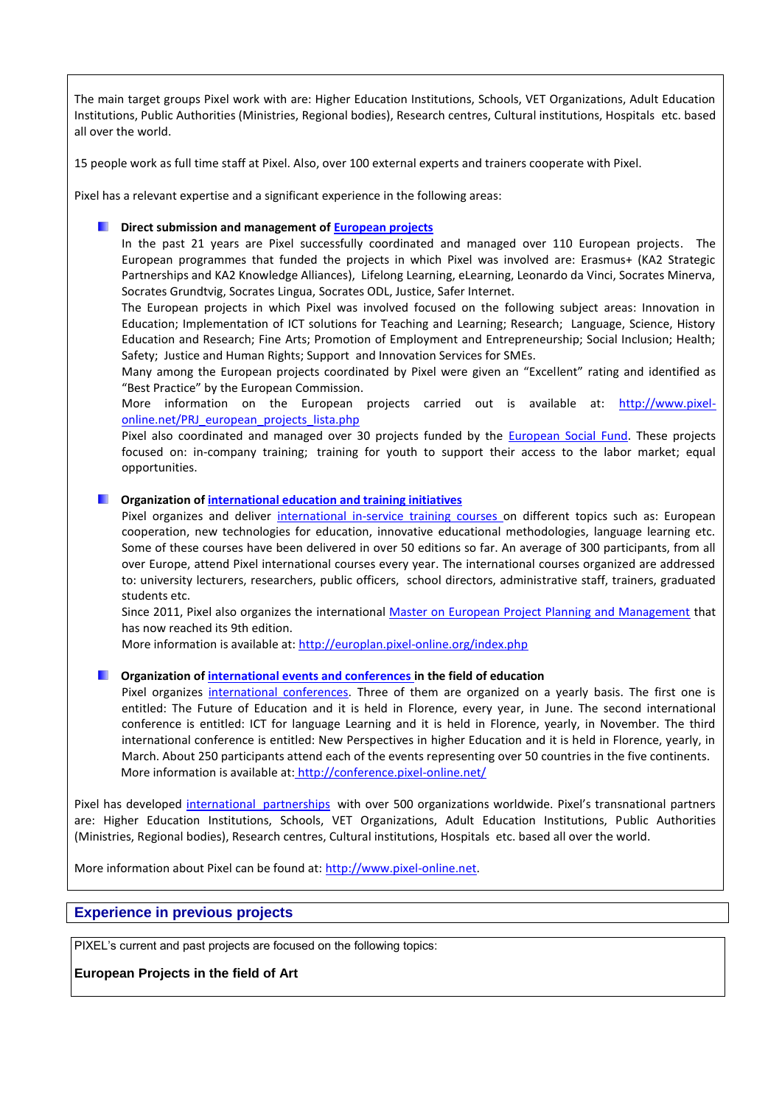The main target groups Pixel work with are: Higher Education Institutions, Schools, VET Organizations, Adult Education Institutions, Public Authorities (Ministries, Regional bodies), Research centres, Cultural institutions, Hospitals etc. based all over the world.

15 people work as full time staff at Pixel. Also, over 100 external experts and trainers cooperate with Pixel.

Pixel has a relevant expertise and a significant experience in the following areas:

## **Direct submission and management of [European projects](http://pixel-online.net/PRJ_european_projects_lista.php?tipo=EU)**

In the past 21 years are Pixel successfully coordinated and managed over 110 European projects. The European programmes that funded the projects in which Pixel was involved are: Erasmus+ (KA2 Strategic Partnerships and KA2 Knowledge Alliances), Lifelong Learning, eLearning, Leonardo da Vinci, Socrates Minerva, Socrates Grundtvig, Socrates Lingua, Socrates ODL, Justice, Safer Internet.

The European projects in which Pixel was involved focused on the following subject areas: Innovation in Education; Implementation of ICT solutions for Teaching and Learning; Research; Language, Science, History Education and Research; Fine Arts; Promotion of Employment and Entrepreneurship; Social Inclusion; Health; Safety; Justice and Human Rights; Support and Innovation Services for SMEs.

Many among the European projects coordinated by Pixel were given an "Excellent" rating and identified as "Best Practice" by the European Commission.

More information on the European projects carried out is available at: [http://www.pixel](http://www.pixel-online.net/PRJ_european_projects_lista.php)[online.net/PRJ\\_european\\_projects\\_lista.php](http://www.pixel-online.net/PRJ_european_projects_lista.php)

Pixel also coordinated and managed over 30 projects funded by the [European Social Fund.](http://pixel-online.net/PRJ_national_projects_lista.php) These projects focused on: in-company training; training for youth to support their access to the labor market; equal opportunities.

**Construction o[f international education and training initiatives](http://pixel-online.net/TRN_corsi_lista.php)** 

Pixel organizes and deliver [international in-service training courses o](http://pixel-online.net/TRN_corsi_lista.php)n different topics such as: European cooperation, new technologies for education, innovative educational methodologies, language learning etc. Some of these courses have been delivered in over 50 editions so far. An average of 300 participants, from all over Europe, attend Pixel international courses every year. The international courses organized are addressed to: university lecturers, researchers, public officers, school directors, administrative staff, trainers, graduated students etc.

Since 2011, Pixel also organizes the international [Master on European Project Planning and Management](http://europlan.pixel-online.org/MST_intro.php) that has now reached its 9th edition.

More information is available at[: http://europlan.pixel-online.org/index.php](http://europlan.pixel-online.org/index.php)

**Organization o[f international events and conferences in](http://pixel-online.net/conferences.php) the field of education** 

Pixel organizes [international conferences.](http://pixel-online.net/conferences.php) Three of them are organized on a yearly basis. The first one is entitled: The Future of Education and it is held in Florence, every year, in June. The second international conference is entitled: ICT for language Learning and it is held in Florence, yearly, in November. The third international conference is entitled: New Perspectives in higher Education and it is held in Florence, yearly, in March. About 250 participants attend each of the events representing over 50 countries in the five continents. More information is available at: <http://conference.pixel-online.net/>

Pixel has developed [international](http://pixel-online.net/PRT_lista.php?tipo=EU) partnerships with over 500 organizations worldwide. Pixel's transnational partners are: Higher Education Institutions, Schools, VET Organizations, Adult Education Institutions, Public Authorities (Ministries, Regional bodies), Research centres, Cultural institutions, Hospitals etc. based all over the world.

More information about Pixel can be found at: [http://www.pixel-online.net.](http://www.pixel-online.net/)

# **Experience in previous projects**

PIXEL's current and past projects are focused on the following topics:

**European Projects in the field of Art**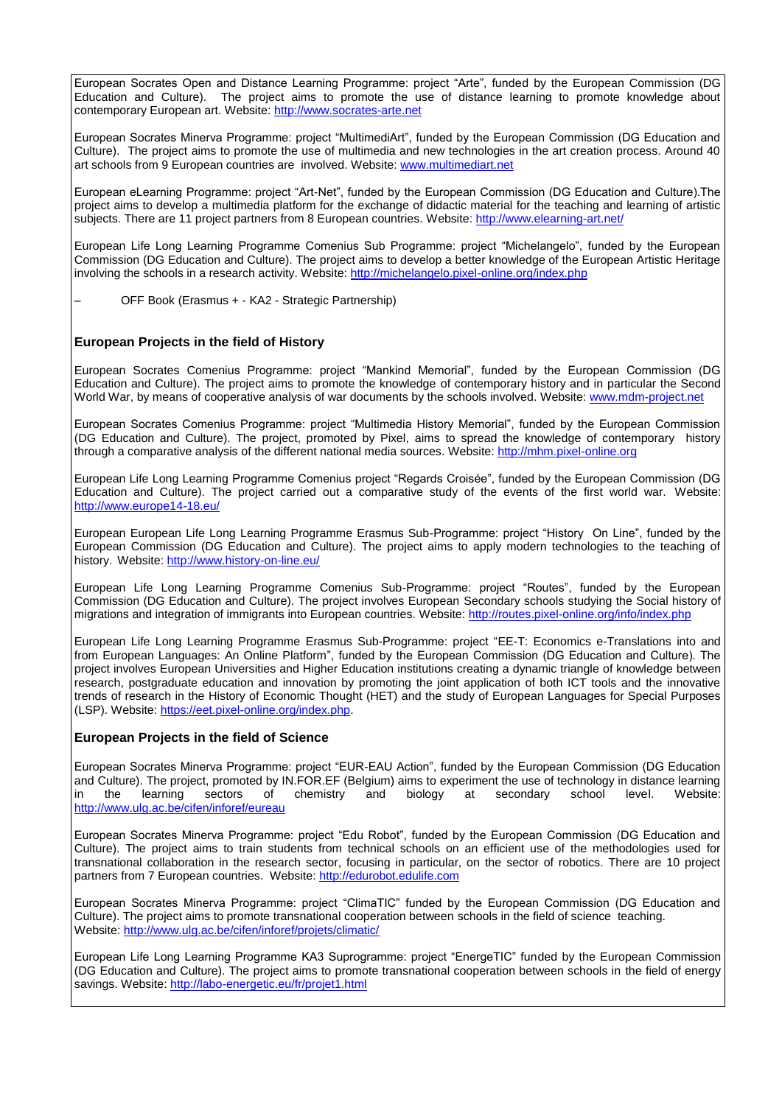European Socrates Open and Distance Learning Programme: project "Arte", funded by the European Commission (DG Education and Culture). The project aims to promote the use of distance learning to promote knowledge about contemporary European art. Website: [http://www.socrates-arte.net](http://www.socrates-arte.net/) 

European Socrates Minerva Programme: project "MultimediArt", funded by the European Commission (DG Education and Culture). The project aims to promote the use of multimedia and new technologies in the art creation process. Around 40 art schools from 9 European countries are involved. Website: [www.multimediart.net](http://www.multimediart.net/)

European eLearning Programme: project "Art-Net", funded by the European Commission (DG Education and Culture).The project aims to develop a multimedia platform for the exchange of didactic material for the teaching and learning of artistic subjects. There are 11 project partners from 8 European countries. Website:<http://www.elearning-art.net/>

European Life Long Learning Programme Comenius Sub Programme: project "Michelangelo", funded by the European Commission (DG Education and Culture). The project aims to develop a better knowledge of the European Artistic Heritage involving the schools in a research activity. Website:<http://michelangelo.pixel-online.org/index.php>

– OFF Book (Erasmus + - KA2 - Strategic Partnership)

## **European Projects in the field of History**

European Socrates Comenius Programme: project "Mankind Memorial", funded by the European Commission (DG Education and Culture). The project aims to promote the knowledge of contemporary history and in particular the Second World War, by means of cooperative analysis of war documents by the schools involved. Website: [www.mdm-project.net](http://www.mdm-project.net/)

European Socrates Comenius Programme: project "Multimedia History Memorial", funded by the European Commission (DG Education and Culture). The project, promoted by Pixel, aims to spread the knowledge of contemporary history through a comparative analysis of the different national media sources. Website: [http://mhm.pixel-online.org](http://mhm.pixel-online.org/)

European Life Long Learning Programme Comenius project "Regards Croisée", funded by the European Commission (DG Education and Culture). The project carried out a comparative study of the events of the first world war. Website: <http://www.europe14-18.eu/>

European European Life Long Learning Programme Erasmus Sub-Programme: project "History On Line", funded by the European Commission (DG Education and Culture). The project aims to apply modern technologies to the teaching of history. Website:<http://www.history-on-line.eu/>

European Life Long Learning Programme Comenius Sub-Programme: project "Routes", funded by the European Commission (DG Education and Culture). The project involves European Secondary schools studying the Social history of migrations and integration of immigrants into European countries. Website:<http://routes.pixel-online.org/info/index.php>

European Life Long Learning Programme Erasmus Sub-Programme: project "EE-T: Economics e-Translations into and from European Languages: An Online Platform", funded by the European Commission (DG Education and Culture). The project involves European Universities and Higher Education institutions creating a dynamic triangle of knowledge between research, postgraduate education and innovation by promoting the joint application of both ICT tools and the innovative trends of research in the History of Economic Thought (HET) and the study of European Languages for Special Purposes (LSP). Website: [https://eet.pixel-online.org/index.php.](https://eet.pixel-online.org/index.php)

## **European Projects in the field of Science**

European Socrates Minerva Programme: project "EUR-EAU Action", funded by the European Commission (DG Education and Culture). The project, promoted by IN.FOR.EF (Belgium) aims to experiment the use of technology in distance learning in the learning sectors of chemistry and biology at secondary school level. Website: <http://www.ulg.ac.be/cifen/inforef/eureau>

European Socrates Minerva Programme: project "Edu Robot", funded by the European Commission (DG Education and Culture). The project aims to train students from technical schools on an efficient use of the methodologies used for transnational collaboration in the research sector, focusing in particular, on the sector of robotics. There are 10 project partners from 7 European countries. Website: [http://edurobot.edulife.com](http://edurobot.edulife.com/)

European Socrates Minerva Programme: project "ClimaTIC" funded by the European Commission (DG Education and Culture). The project aims to promote transnational cooperation between schools in the field of science teaching. Website:<http://www.ulg.ac.be/cifen/inforef/projets/climatic/>

European Life Long Learning Programme KA3 Suprogramme: project "EnergeTIC" funded by the European Commission (DG Education and Culture). The project aims to promote transnational cooperation between schools in the field of energy savings. Website[: http://labo-energetic.eu/fr/projet1.html](http://labo-energetic.eu/fr/projet1.html)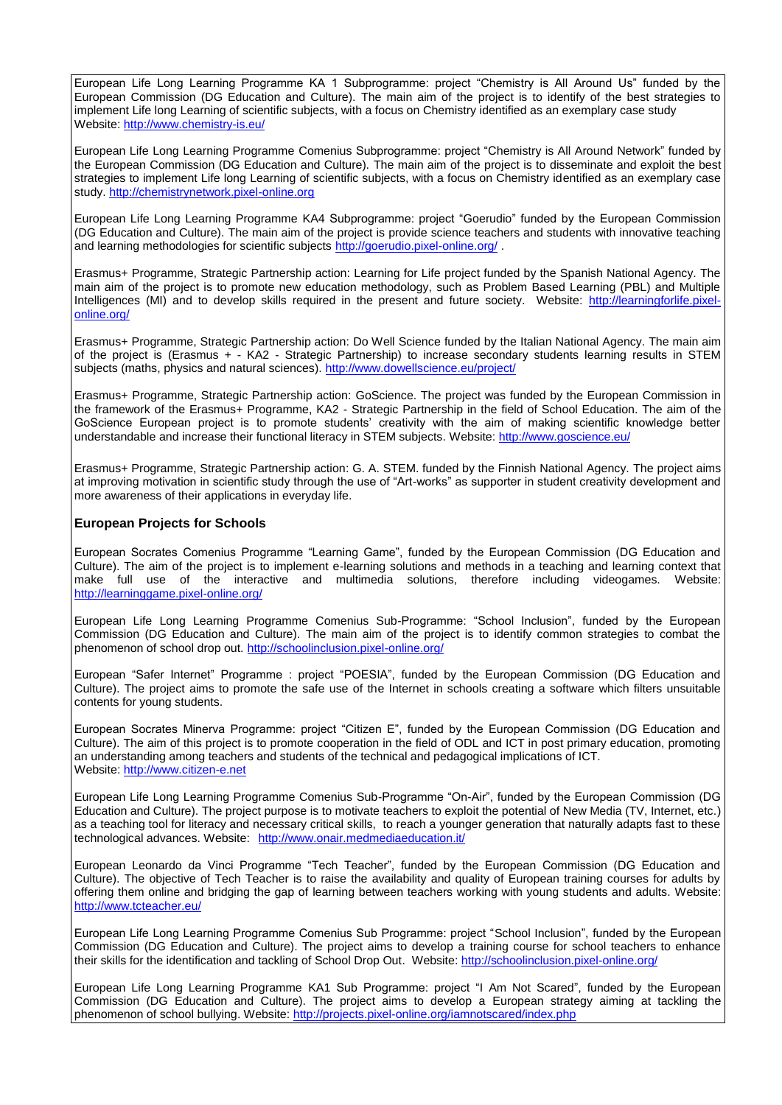European Life Long Learning Programme KA 1 Subprogramme: project "Chemistry is All Around Us" funded by the European Commission (DG Education and Culture). The main aim of the project is to identify of the best strategies to implement Life long Learning of scientific subjects, with a focus on Chemistry identified as an exemplary case study Website:<http://www.chemistry-is.eu/>

European Life Long Learning Programme Comenius Subprogramme: project "Chemistry is All Around Network" funded by the European Commission (DG Education and Culture). The main aim of the project is to disseminate and exploit the best strategies to implement Life long Learning of scientific subjects, with a focus on Chemistry identified as an exemplary case study. [http://chemistrynetwork.pixel-online.org](http://chemistrynetwork.pixel-online.org/)

European Life Long Learning Programme KA4 Subprogramme: project "Goerudio" funded by the European Commission (DG Education and Culture). The main aim of the project is provide science teachers and students with innovative teaching and learning methodologies for scientific subjects<http://goerudio.pixel-online.org/> .

Erasmus+ Programme, Strategic Partnership action: Learning for Life project funded by the Spanish National Agency. The main aim of the project is to promote new education methodology, such as Problem Based Learning (PBL) and Multiple Intelligences (MI) and to develop skills required in the present and future society. Website: [http://learningforlife.pixel](http://learningforlife.pixel-online.org/)[online.org/](http://learningforlife.pixel-online.org/)

Erasmus+ Programme, Strategic Partnership action: Do Well Science funded by the Italian National Agency. The main aim of the project is (Erasmus + - KA2 - Strategic Partnership) to increase secondary students learning results in STEM subjects (maths, physics and natural sciences). <http://www.dowellscience.eu/project/>

Erasmus+ Programme, Strategic Partnership action: GoScience. The project was funded by the European Commission in the framework of the Erasmus+ Programme, KA2 - Strategic Partnership in the field of School Education. The aim of the GoScience European project is to promote students' creativity with the aim of making scientific knowledge better understandable and increase their functional literacy in STEM subjects. Website:<http://www.goscience.eu/>

Erasmus+ Programme, Strategic Partnership action: G. A. STEM. funded by the Finnish National Agency. The project aims at improving motivation in scientific study through the use of "Art-works" as supporter in student creativity development and more awareness of their applications in everyday life.

## **European Projects for Schools**

European Socrates Comenius Programme "Learning Game", funded by the European Commission (DG Education and Culture). The aim of the project is to implement e-learning solutions and methods in a teaching and learning context that make full use of the interactive and multimedia solutions, therefore including videogames. Website: <http://learninggame.pixel-online.org/>

European Life Long Learning Programme Comenius Sub-Programme: "School Inclusion", funded by the European Commission (DG Education and Culture). The main aim of the project is to identify common strategies to combat the phenomenon of school drop out.<http://schoolinclusion.pixel-online.org/>

European "Safer Internet" Programme : project "POESIA", funded by the European Commission (DG Education and Culture). The project aims to promote the safe use of the Internet in schools creating a software which filters unsuitable contents for young students.

European Socrates Minerva Programme: project "Citizen E", funded by the European Commission (DG Education and Culture). The aim of this project is to promote cooperation in the field of ODL and ICT in post primary education, promoting an understanding among teachers and students of the technical and pedagogical implications of ICT. Website: [http://www.citizen-e.net](http://www.citizen-e.net/)

European Life Long Learning Programme Comenius Sub-Programme "On-Air", funded by the European Commission (DG Education and Culture). The project purpose is to motivate teachers to exploit the potential of New Media (TV, Internet, etc.) as a teaching tool for literacy and necessary critical skills, to reach a younger generation that naturally adapts fast to these technological advances. Website: <http://www.onair.medmediaeducation.it/>

European Leonardo da Vinci Programme "Tech Teacher", funded by the European Commission (DG Education and Culture). The objective of Tech Teacher is to raise the availability and quality of European training courses for adults by offering them online and bridging the gap of learning between teachers working with young students and adults. Website: <http://www.tcteacher.eu/>

European Life Long Learning Programme Comenius Sub Programme: project "School Inclusion", funded by the European Commission (DG Education and Culture). The project aims to develop a training course for school teachers to enhance their skills for the identification and tackling of School Drop Out. Website:<http://schoolinclusion.pixel-online.org/>

European Life Long Learning Programme KA1 Sub Programme: project "I Am Not Scared", funded by the European Commission (DG Education and Culture). The project aims to develop a European strategy aiming at tackling the phenomenon of school bullying. Website:<http://projects.pixel-online.org/iamnotscared/index.php>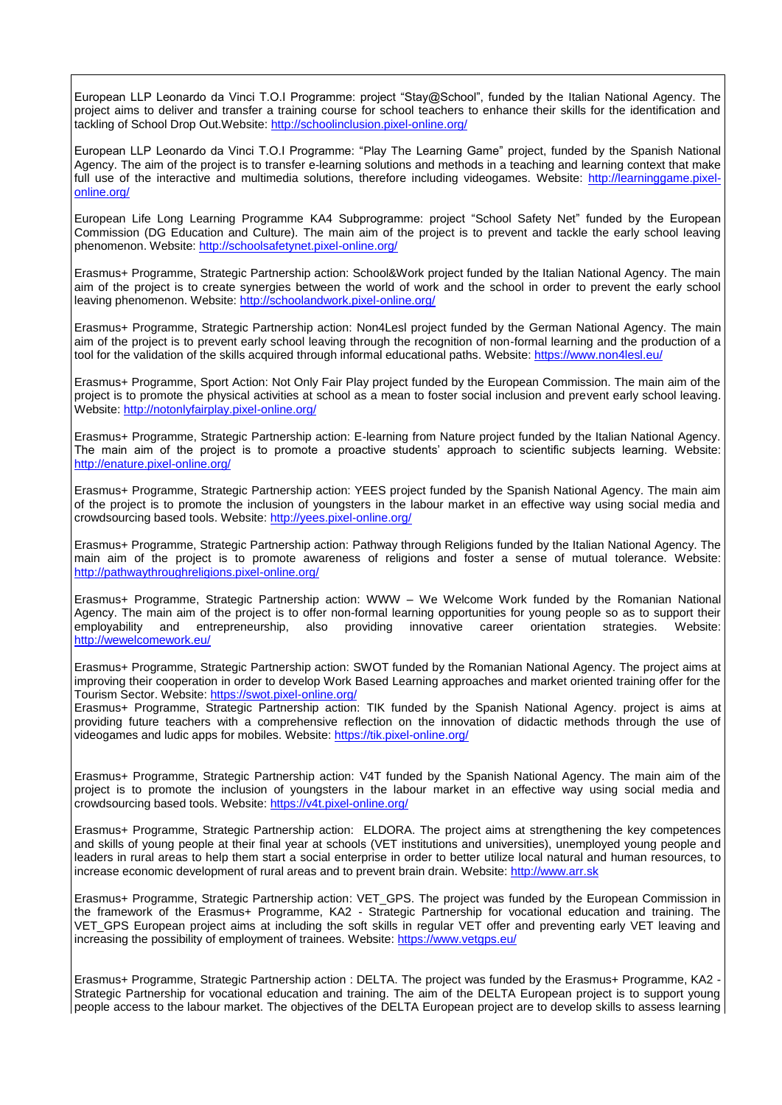European LLP Leonardo da Vinci T.O.I Programme: project "Stay@School", funded by the Italian National Agency. The project aims to deliver and transfer a training course for school teachers to enhance their skills for the identification and tackling of School Drop Out.Website:<http://schoolinclusion.pixel-online.org/>

European LLP Leonardo da Vinci T.O.I Programme: "Play The Learning Game" project, funded by the Spanish National Agency. The aim of the project is to transfer e-learning solutions and methods in a teaching and learning context that make full use of the interactive and multimedia solutions, therefore including videogames. Website: [http://learninggame.pixel](http://learninggame.pixel-online.org/)[online.org/](http://learninggame.pixel-online.org/)

European Life Long Learning Programme KA4 Subprogramme: project "School Safety Net" funded by the European Commission (DG Education and Culture). The main aim of the project is to prevent and tackle the early school leaving phenomenon. Website:<http://schoolsafetynet.pixel-online.org/>

Erasmus+ Programme, Strategic Partnership action: School&Work project funded by the Italian National Agency. The main aim of the project is to create synergies between the world of work and the school in order to prevent the early school leaving phenomenon. Website:<http://schoolandwork.pixel-online.org/>

Erasmus+ Programme, Strategic Partnership action: Non4Lesl project funded by the German National Agency. The main aim of the project is to prevent early school leaving through the recognition of non-formal learning and the production of a tool for the validation of the skills acquired through informal educational paths. Website:<https://www.non4lesl.eu/>

Erasmus+ Programme, Sport Action: Not Only Fair Play project funded by the European Commission. The main aim of the project is to promote the physical activities at school as a mean to foster social inclusion and prevent early school leaving. Website:<http://notonlyfairplay.pixel-online.org/>

Erasmus+ Programme, Strategic Partnership action: E-learning from Nature project funded by the Italian National Agency. The main aim of the project is to promote a proactive students' approach to scientific subjects learning. Website: <http://enature.pixel-online.org/>

Erasmus+ Programme, Strategic Partnership action: YEES project funded by the Spanish National Agency. The main aim of the project is to promote the inclusion of youngsters in the labour market in an effective way using social media and crowdsourcing based tools. Website:<http://yees.pixel-online.org/>

Erasmus+ Programme, Strategic Partnership action: Pathway through Religions funded by the Italian National Agency. The main aim of the project is to promote awareness of religions and foster a sense of mutual tolerance. Website: <http://pathwaythroughreligions.pixel-online.org/>

Erasmus+ Programme, Strategic Partnership action: WWW – We Welcome Work funded by the Romanian National Agency. The main aim of the project is to offer non-formal learning opportunities for young people so as to support their employability and entrepreneurship, also providing innovative career orientation strategies. Website: <http://wewelcomework.eu/>

Erasmus+ Programme, Strategic Partnership action: SWOT funded by the Romanian National Agency. The project aims at improving their cooperation in order to develop Work Based Learning approaches and market oriented training offer for the Tourism Sector. Website:<https://swot.pixel-online.org/>

Erasmus+ Programme, Strategic Partnership action: TIK funded by the Spanish National Agency. project is aims at providing future teachers with a comprehensive reflection on the innovation of didactic methods through the use of videogames and ludic apps for mobiles. Website:<https://tik.pixel-online.org/>

Erasmus+ Programme, Strategic Partnership action: V4T funded by the Spanish National Agency. The main aim of the project is to promote the inclusion of youngsters in the labour market in an effective way using social media and crowdsourcing based tools. Website:<https://v4t.pixel-online.org/>

Erasmus+ Programme, Strategic Partnership action: ELDORA. The project aims at strengthening the key competences and skills of young people at their final year at schools (VET institutions and universities), unemployed young people and leaders in rural areas to help them start a social enterprise in order to better utilize local natural and human resources, to increase economic development of rural areas and to prevent brain drain. Website: [http://www.arr.sk](http://www.arr.sk/)

Erasmus+ Programme, Strategic Partnership action: VET\_GPS. The project was funded by the European Commission in the framework of the Erasmus+ Programme, KA2 - Strategic Partnership for vocational education and training. The VET\_GPS European project aims at including the soft skills in regular VET offer and preventing early VET leaving and increasing the possibility of employment of trainees. Website:<https://www.vetgps.eu/>

Erasmus+ Programme, Strategic Partnership action : DELTA. The project was funded by the Erasmus+ Programme, KA2 - Strategic Partnership for vocational education and training. The aim of the DELTA European project is to support young people access to the labour market. The objectives of the DELTA European project are to develop skills to assess learning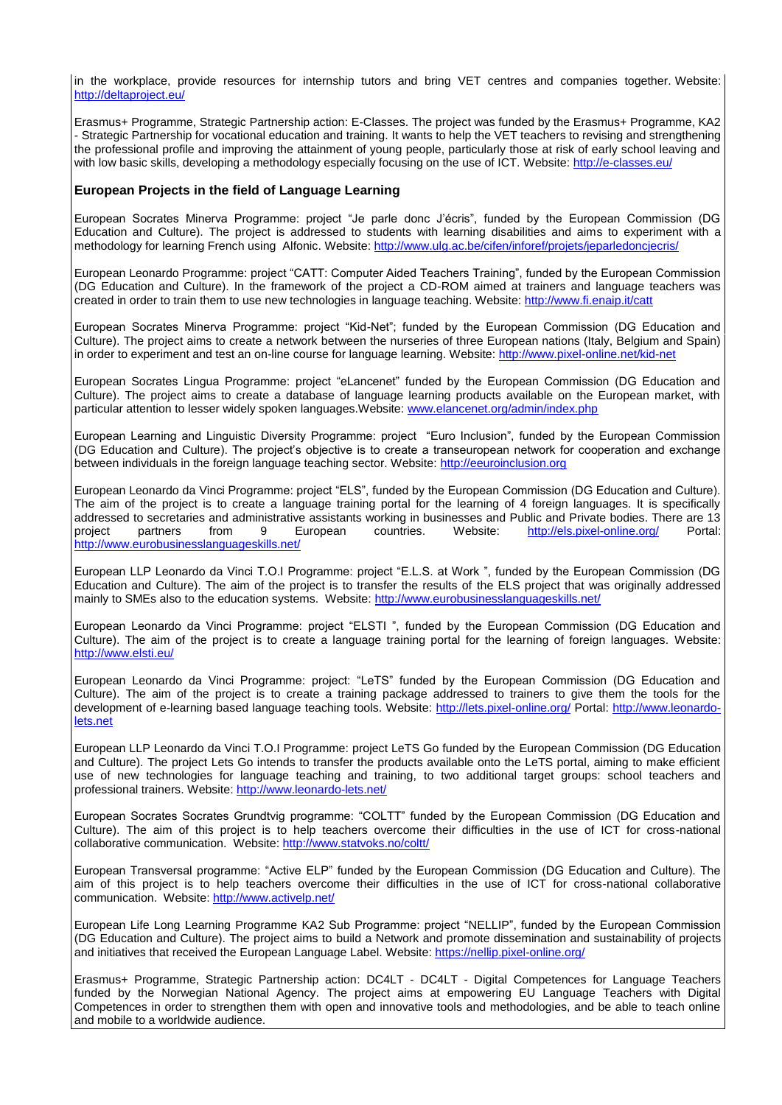in the workplace, provide resources for internship tutors and bring VET centres and companies together. Website: <http://deltaproject.eu/>

Erasmus+ Programme, Strategic Partnership action: E-Classes. The project was funded by the Erasmus+ Programme, KA2 - Strategic Partnership for vocational education and training. It wants to help the VET teachers to revising and strengthening the professional profile and improving the attainment of young people, particularly those at risk of early school leaving and with low basic skills, developing a methodology especially focusing on the use of ICT. Website[: http://e-classes.eu/](http://e-classes.eu/)

## **European Projects in the field of Language Learning**

European Socrates Minerva Programme: project "Je parle donc J'écris", funded by the European Commission (DG Education and Culture). The project is addressed to students with learning disabilities and aims to experiment with a methodology for learning French using Alfonic. Website:<http://www.ulg.ac.be/cifen/inforef/projets/jeparledoncjecris/>

European Leonardo Programme: project "CATT: Computer Aided Teachers Training", funded by the European Commission (DG Education and Culture). In the framework of the project a CD-ROM aimed at trainers and language teachers was created in order to train them to use new technologies in language teaching. Website[: http://www.fi.enaip.it/catt](http://www.fi.enaip.it/catt)

European Socrates Minerva Programme: project "Kid-Net"; funded by the European Commission (DG Education and Culture). The project aims to create a network between the nurseries of three European nations (Italy, Belgium and Spain) in order to experiment and test an on-line course for language learning. Website:<http://www.pixel-online.net/kid-net>

European Socrates Lingua Programme: project "eLancenet" funded by the European Commission (DG Education and Culture). The project aims to create a database of language learning products available on the European market, with particular attention to lesser widely spoken languages.Website: [www.elancenet.org/admin/index.php](http://www.elancenet.org/admin/index.php)

European Learning and Linguistic Diversity Programme: project "Euro Inclusion", funded by the European Commission (DG Education and Culture). The project's objective is to create a transeuropean network for cooperation and exchange between individuals in the foreign language teaching sector. Website: [http://eeuroinclusion.org](http://eeuroinclusion.org/)

European Leonardo da Vinci Programme: project "ELS", funded by the European Commission (DG Education and Culture). The aim of the project is to create a language training portal for the learning of 4 foreign languages. It is specifically addressed to secretaries and administrative assistants working in businesses and Public and Private bodies. There are 13 project partners from 9 European countries. Website: <http://els.pixel-online.org/> Portal: <http://www.eurobusinesslanguageskills.net/>

European LLP Leonardo da Vinci T.O.I Programme: project "E.L.S. at Work ", funded by the European Commission (DG Education and Culture). The aim of the project is to transfer the results of the ELS project that was originally addressed mainly to SMEs also to the education systems. Website:<http://www.eurobusinesslanguageskills.net/>

European Leonardo da Vinci Programme: project "ELSTI ", funded by the European Commission (DG Education and Culture). The aim of the project is to create a language training portal for the learning of foreign languages. Website: <http://www.elsti.eu/>

European Leonardo da Vinci Programme: project: "LeTS" funded by the European Commission (DG Education and Culture). The aim of the project is to create a training package addressed to trainers to give them the tools for the development of e-learning based language teaching tools. Website:<http://lets.pixel-online.org/> Portal: [http://www.leonardo](http://www.leonardo-lets.net/)[lets.net](http://www.leonardo-lets.net/)

European LLP Leonardo da Vinci T.O.I Programme: project LeTS Go funded by the European Commission (DG Education and Culture). The project Lets Go intends to transfer the products available onto the LeTS portal, aiming to make efficient use of new technologies for language teaching and training, to two additional target groups: school teachers and professional trainers. Website: <http://www.leonardo-lets.net/>

European Socrates Socrates Grundtvig programme: "COLTT" funded by the European Commission (DG Education and Culture). The aim of this project is to help teachers overcome their difficulties in the use of ICT for cross-national collaborative communication. Website:<http://www.statvoks.no/coltt/>

European Transversal programme: "Active ELP" funded by the European Commission (DG Education and Culture). The aim of this project is to help teachers overcome their difficulties in the use of ICT for cross-national collaborative communication. Website:<http://www.activelp.net/>

European Life Long Learning Programme KA2 Sub Programme: project "NELLIP", funded by the European Commission (DG Education and Culture). The project aims to build a Network and promote dissemination and sustainability of projects and initiatives that received the European Language Label. Website:<https://nellip.pixel-online.org/>

Erasmus+ Programme, Strategic Partnership action: DC4LT - DC4LT - Digital Competences for Language Teachers funded by the Norwegian National Agency. The project aims at empowering EU Language Teachers with Digital Competences in order to strengthen them with open and innovative tools and methodologies, and be able to teach online and mobile to a worldwide audience.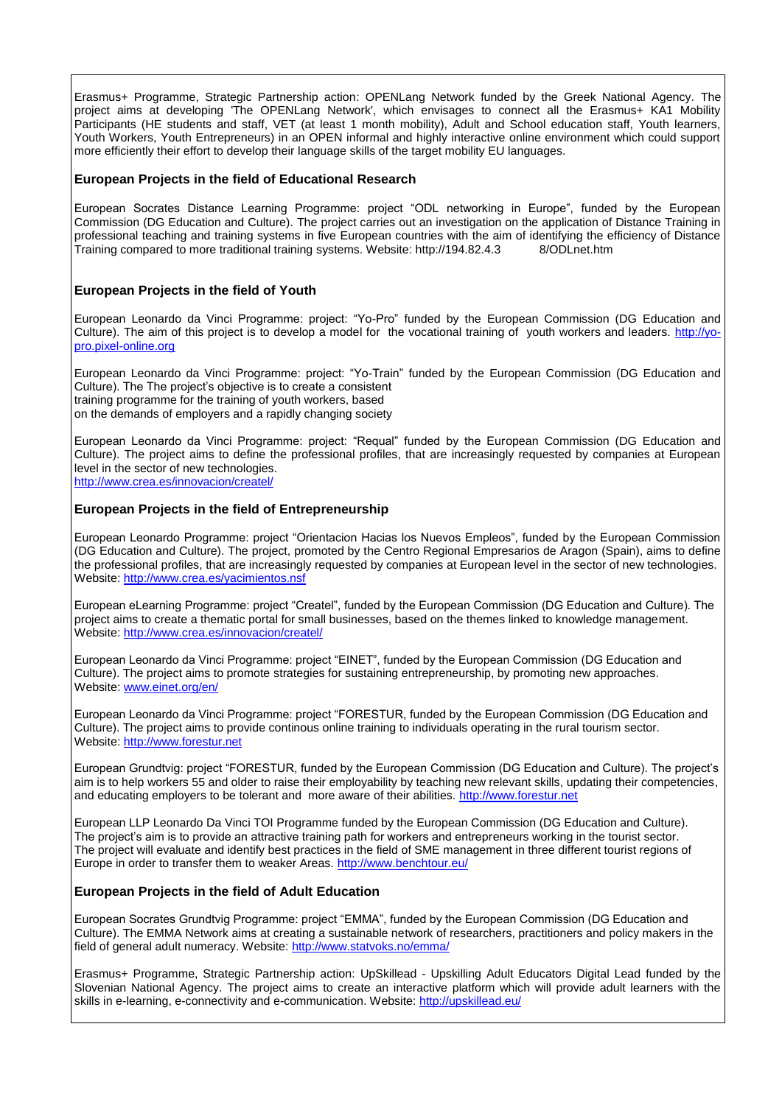Erasmus+ Programme, Strategic Partnership action: OPENLang Network funded by the Greek National Agency. The project aims at developing 'The OPENLang Network', which envisages to connect all the Erasmus+ KA1 Mobility Participants (HE students and staff, VET (at least 1 month mobility), Adult and School education staff, Youth learners, Youth Workers, Youth Entrepreneurs) in an OPEN informal and highly interactive online environment which could support more efficiently their effort to develop their language skills of the target mobility EU languages.

## **European Projects in the field of Educational Research**

European Socrates Distance Learning Programme: project "ODL networking in Europe", funded by the European Commission (DG Education and Culture). The project carries out an investigation on the application of Distance Training in professional teaching and training systems in five European countries with the aim of identifying the efficiency of Distance Training compared to more traditional training systems. Website: http://194.82.4.3 8/ODLnet.htm

## **European Projects in the field of Youth**

European Leonardo da Vinci Programme: project: "Yo-Pro" funded by the European Commission (DG Education and Culture). The aim of this project is to develop a model for the vocational training of youth workers and leaders. [http://yo](http://yo-pro.pixel-online.org/)[pro.pixel-online.org](http://yo-pro.pixel-online.org/)

European Leonardo da Vinci Programme: project: "Yo-Train" funded by the European Commission (DG Education and Culture). The The project's objective is to create a consistent training programme for the training of youth workers, based on the demands of employers and a rapidly changing society

European Leonardo da Vinci Programme: project: "Requal" funded by the European Commission (DG Education and Culture). The project aims to define the professional profiles, that are increasingly requested by companies at European level in the sector of new technologies.

<http://www.crea.es/innovacion/createl/>

# **European Projects in the field of Entrepreneurship**

European Leonardo Programme: project "Orientacion Hacias los Nuevos Empleos", funded by the European Commission (DG Education and Culture). The project, promoted by the Centro Regional Empresarios de Aragon (Spain), aims to define the professional profiles, that are increasingly requested by companies at European level in the sector of new technologies. Website:<http://www.crea.es/yacimientos.nsf>

European eLearning Programme: project "Createl", funded by the European Commission (DG Education and Culture). The project aims to create a thematic portal for small businesses, based on the themes linked to knowledge management. Website:<http://www.crea.es/innovacion/createl/>

European Leonardo da Vinci Programme: project "EINET", funded by the European Commission (DG Education and Culture). The project aims to promote strategies for sustaining entrepreneurship, by promoting new approaches. Website: [www.einet.org/en/](http://www.einet.org/en/)

European Leonardo da Vinci Programme: project "FORESTUR, funded by the European Commission (DG Education and Culture). The project aims to provide continous online training to individuals operating in the rural tourism sector. Website: [http://www.forestur.net](http://www.forestur.net/)

European Grundtvig: project "FORESTUR, funded by the European Commission (DG Education and Culture). The project's aim is to help workers 55 and older to raise their employability by teaching new relevant skills, updating their competencies, and educating employers to be tolerant and more aware of their abilities. [http://www.forestur.net](http://www.forestur.net/)

European LLP Leonardo Da Vinci TOI Programme funded by the European Commission (DG Education and Culture). The project's aim is to provide an attractive training path for workers and entrepreneurs working in the tourist sector. The project will evaluate and identify best practices in the field of SME management in three different tourist regions of Europe in order to transfer them to weaker Areas. http://www.benchtour.eu/

## **European Projects in the field of Adult Education**

European Socrates Grundtvig Programme: project "EMMA", funded by the European Commission (DG Education and Culture). The EMMA Network aims at creating a sustainable network of researchers, practitioners and policy makers in the field of general adult numeracy. Website:<http://www.statvoks.no/emma/>

Erasmus+ Programme, Strategic Partnership action: UpSkillead - Upskilling Adult Educators Digital Lead funded by the Slovenian National Agency. The project aims to create an interactive platform which will provide adult learners with the skills in e-learning, e-connectivity and e-communication. Website:<http://upskillead.eu/>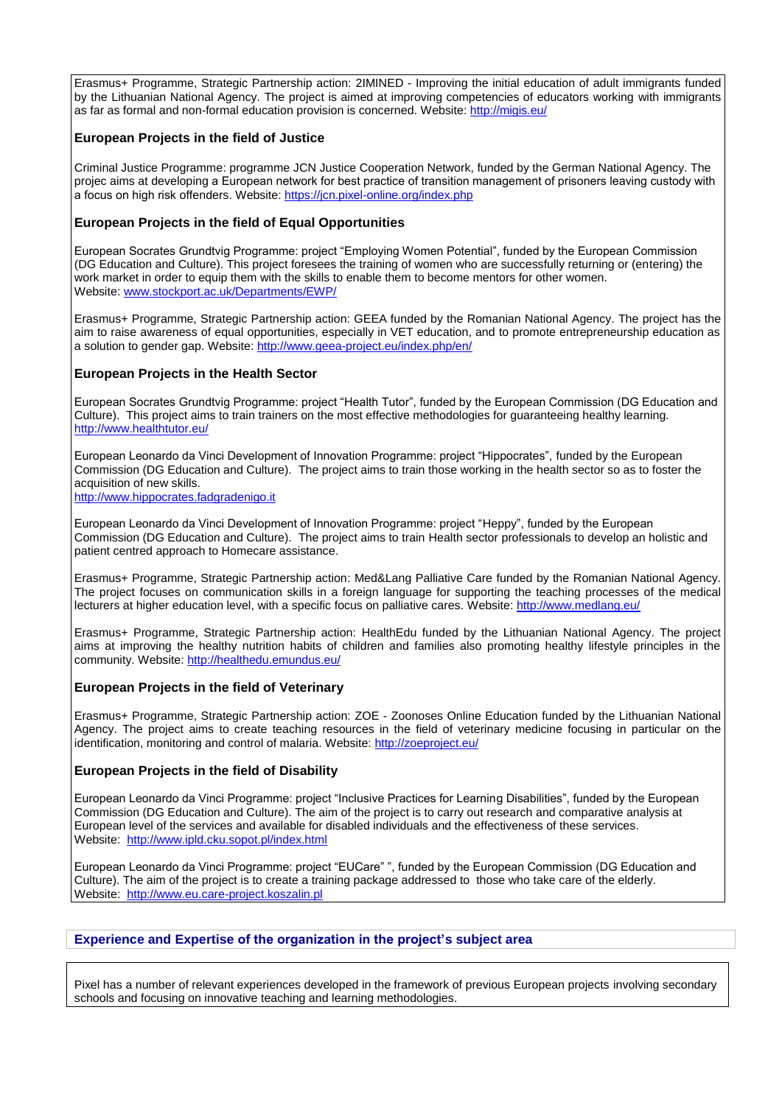Erasmus+ Programme, Strategic Partnership action: 2IMINED - Improving the initial education of adult immigrants funded by the Lithuanian National Agency. The project is aimed at improving competencies of educators working with immigrants as far as formal and non-formal education provision is concerned. Website:<http://migis.eu/>

## **European Projects in the field of Justice**

Criminal Justice Programme: programme JCN Justice Cooperation Network, funded by the German National Agency. The projec aims at developing a European network for best practice of transition management of prisoners leaving custody with a focus on high risk offenders. Website:<https://jcn.pixel-online.org/index.php>

# **European Projects in the field of Equal Opportunities**

European Socrates Grundtvig Programme: project "Employing Women Potential", funded by the European Commission (DG Education and Culture). This project foresees the training of women who are successfully returning or (entering) the work market in order to equip them with the skills to enable them to become mentors for other women. Website: [www.stockport.ac.uk/Departments/EWP/](http://www.stockport.ac.uk/Departments/EWP/)

Erasmus+ Programme, Strategic Partnership action: GEEA funded by the Romanian National Agency. The project has the aim to raise awareness of equal opportunities, especially in VET education, and to promote entrepreneurship education as a solution to gender gap. Website:<http://www.geea-project.eu/index.php/en/>

## **European Projects in the Health Sector**

European Socrates Grundtvig Programme: project "Health Tutor", funded by the European Commission (DG Education and Culture). This project aims to train trainers on the most effective methodologies for guaranteeing healthy learning. <http://www.healthtutor.eu/>

European Leonardo da Vinci Development of Innovation Programme: project "Hippocrates", funded by the European Commission (DG Education and Culture). The project aims to train those working in the health sector so as to foster the acquisition of new skills.

[http://www.hippocrates.fadgradenigo.it](http://www.hippocrates.fadgradenigo.it/)

European Leonardo da Vinci Development of Innovation Programme: project "Heppy", funded by the European Commission (DG Education and Culture). The project aims to train Health sector professionals to develop an holistic and patient centred approach to Homecare assistance.

Erasmus+ Programme, Strategic Partnership action: Med&Lang Palliative Care funded by the Romanian National Agency. The project focuses on communication skills in a foreign language for supporting the teaching processes of the medical lecturers at higher education level, with a specific focus on palliative cares. Website:<http://www.medlang.eu/>

Erasmus+ Programme, Strategic Partnership action: HealthEdu funded by the Lithuanian National Agency. The project aims at improving the healthy nutrition habits of children and families also promoting healthy lifestyle principles in the community. Website[: http://healthedu.emundus.eu/](http://healthedu.emundus.eu/)

## **European Projects in the field of Veterinary**

Erasmus+ Programme, Strategic Partnership action: ZOE - Zoonoses Online Education funded by the Lithuanian National Agency. The project aims to create teaching resources in the field of veterinary medicine focusing in particular on the identification, monitoring and control of malaria. Website: <http://zoeproject.eu/>

## **European Projects in the field of Disability**

European Leonardo da Vinci Programme: project "Inclusive Practices for Learning Disabilities", funded by the European Commission (DG Education and Culture). The aim of the project is to carry out research and comparative analysis at European level of the services and available for disabled individuals and the effectiveness of these services. Website:<http://www.ipld.cku.sopot.pl/index.html>

European Leonardo da Vinci Programme: project "EUCare" ", funded by the European Commission (DG Education and Culture). The aim of the project is to create a training package addressed to those who take care of the elderly. Website: [http://www.eu.care-project.koszalin.pl](http://www.eu.care-project.koszalin.pl/)

# **Experience and Expertise of the organization in the project's subject area**

Pixel has a number of relevant experiences developed in the framework of previous European projects involving secondary schools and focusing on innovative teaching and learning methodologies.